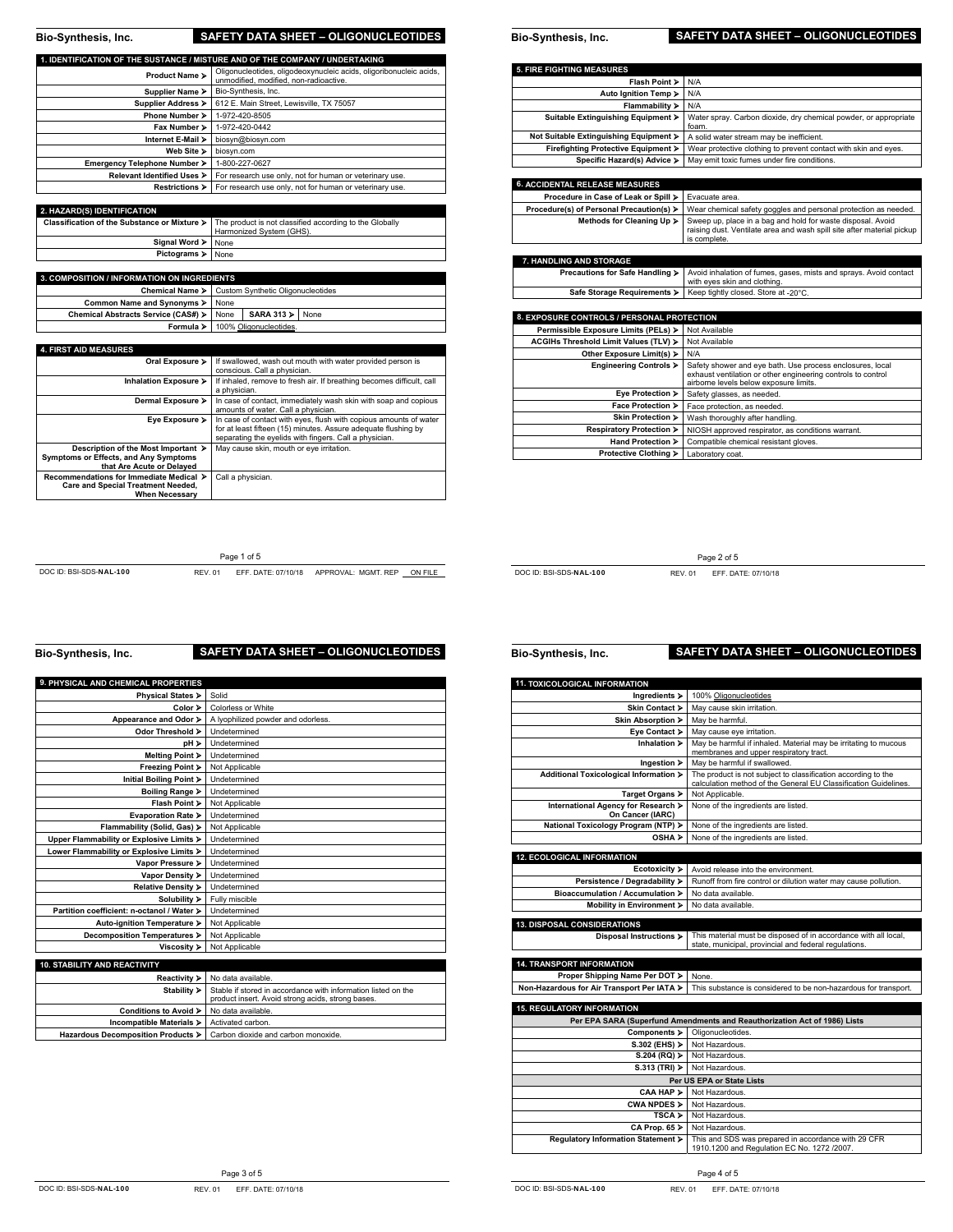| Bio-Synthesis, Inc.                                                          | <b>SAFETY DATA SHEET - OLIGONUCLEOTIDES</b>                                                                  |
|------------------------------------------------------------------------------|--------------------------------------------------------------------------------------------------------------|
|                                                                              |                                                                                                              |
| 1. IDENTIFICATION OF THE SUSTANCE / MISTURE AND OF THE COMPANY / UNDERTAKING |                                                                                                              |
| Product Name >                                                               | Oligonucleotides, oligodeoxynucleic acids, oligoribonucleic acids,<br>unmodified, modified, non-radioactive, |
| Supplier Name >                                                              | Bio-Synthesis, Inc.                                                                                          |
| Supplier Address ▶                                                           | 612 E. Main Street, Lewisville, TX 75057                                                                     |
| Phone Number >                                                               | 1-972-420-8505                                                                                               |
| Fax Number >                                                                 | 1-972-420-0442                                                                                               |
| Internet E-Mail >                                                            | biosyn@biosyn.com                                                                                            |
| Web Site >                                                                   | biosyn.com                                                                                                   |
| Emergency Telephone Number >                                                 | 1-800-227-0627                                                                                               |
| <b>Relevant Identified Uses &gt;</b>                                         | For research use only, not for human or veterinary use.                                                      |
| <b>Restrictions &gt;</b>                                                     | For research use only, not for human or veterinary use.                                                      |
|                                                                              |                                                                                                              |
| 2. HAZARD(S) IDENTIFICATION                                                  |                                                                                                              |
| Classification of the Substance or Mixture >                                 | The product is not classified according to the Globally<br>Harmonized System (GHS).                          |
| Signal Word >                                                                | None                                                                                                         |
| Pictograms >                                                                 | None                                                                                                         |

| Pictograms > None                                  |                                                   |                                  |  |
|----------------------------------------------------|---------------------------------------------------|----------------------------------|--|
|                                                    |                                                   |                                  |  |
| <b>3. COMPOSITION / INFORMATION ON INGREDIENTS</b> |                                                   |                                  |  |
|                                                    | Chemical Name > Custom Synthetic Oligonucleotides |                                  |  |
| Common Name and Synonyms > None                    |                                                   |                                  |  |
| Chemical Abstracts Service (CAS#) > None           |                                                   | $SARA 313$ $\triangleright$ None |  |
|                                                    |                                                   | Formula > 100% Oligonucleotides. |  |

| <b>4. FIRST AID MEASURES</b>              |                                                                       |
|-------------------------------------------|-----------------------------------------------------------------------|
| Oral Exposure >                           | If swallowed, wash out mouth with water provided person is            |
|                                           | conscious. Call a physician.                                          |
| Inhalation Exposure >                     | If inhaled, remove to fresh air. If breathing becomes difficult, call |
|                                           | a physician.                                                          |
| Dermal Exposure >                         | In case of contact, immediately wash skin with soap and copious       |
|                                           | amounts of water. Call a physician.                                   |
| Eye Exposure >                            | In case of contact with eyes, flush with copious amounts of water     |
|                                           | for at least fifteen (15) minutes. Assure adequate flushing by        |
|                                           | separating the eyelids with fingers. Call a physician.                |
| Description of the Most Important >       | May cause skin, mouth or eve irritation.                              |
| Symptoms or Effects, and Any Symptoms     |                                                                       |
| that Are Acute or Delayed                 |                                                                       |
| Recommendations for Immediate Medical >   | Call a physician.                                                     |
| <b>Care and Special Treatment Needed.</b> |                                                                       |
| <b>When Necessarv</b>                     |                                                                       |

Page 1 of 5

| <b>5. FIRE FIGHTING MEASURES</b>           |                                                                                                                                                       |
|--------------------------------------------|-------------------------------------------------------------------------------------------------------------------------------------------------------|
| Flash Point >                              | N/A                                                                                                                                                   |
| Auto Ignition Temp >                       | N/A                                                                                                                                                   |
| Flammability >                             | N/A                                                                                                                                                   |
| Suitable Extinguishing Equipment >         | Water spray, Carbon dioxide, dry chemical powder, or appropriate<br>foam.                                                                             |
| Not Suitable Extinguishing Equipment >     | A solid water stream may be inefficient.                                                                                                              |
| Firefighting Protective Equipment ▶        | Wear protective clothing to prevent contact with skin and eyes.                                                                                       |
| Specific Hazard(s) Advice >                | May emit toxic fumes under fire conditions.                                                                                                           |
|                                            |                                                                                                                                                       |
| <b>6. ACCIDENTAL RELEASE MEASURES</b>      |                                                                                                                                                       |
| Procedure in Case of Leak or Spill >       | Evacuate area.                                                                                                                                        |
| Procedure(s) of Personal Precaution(s) >   | Wear chemical safety goggles and personal protection as needed.                                                                                       |
| Methods for Cleaning Up >                  | Sweep up, place in a bag and hold for waste disposal. Avoid<br>raising dust. Ventilate area and wash spill site after material pickup<br>is complete. |
|                                            |                                                                                                                                                       |
| 7. HANDLING AND STORAGE                    |                                                                                                                                                       |
| Precautions for Safe Handling >            | Avoid inhalation of fumes, gases, mists and sprays. Avoid contact<br>with eyes skin and clothing.                                                     |
| Safe Storage Requirements >                | Keep tightly closed. Store at -20°C.                                                                                                                  |
|                                            |                                                                                                                                                       |
| 8. EXPOSURE CONTROLS / PERSONAL PROTECTION |                                                                                                                                                       |
| Permissible Exposure Limits (PELs) >       | Not Available                                                                                                                                         |

**Bio-Synthesis, Inc. SAFETY DATA SHEET – OLIGONUCLEOTIDES** 

| Permissible Exposure Limits (PELs) >  | Not Available                                                                                                                                                       |
|---------------------------------------|---------------------------------------------------------------------------------------------------------------------------------------------------------------------|
| ACGIHs Threshold Limit Values (TLV) > | Not Available                                                                                                                                                       |
| Other Exposure Limit(s) ▶             | N/A                                                                                                                                                                 |
| Engineering Controls >                | Safety shower and eye bath. Use process enclosures, local<br>exhaust ventilation or other engineering controls to control<br>airborne levels below exposure limits. |
| Eye Protection >                      | Safety glasses, as needed.                                                                                                                                          |
| Face Protection >                     | Face protection, as needed.                                                                                                                                         |
| Skin Protection >                     | Wash thoroughly after handling.                                                                                                                                     |
| Respiratory Protection >              | NIOSH approved respirator, as conditions warrant.                                                                                                                   |
| Hand Protection >                     | Compatible chemical resistant gloves.                                                                                                                               |
| Protective Clothing >                 | Laboratory coat.                                                                                                                                                    |

DOC ID: BSI-SDS-NAL-100 REV. 01 EFF. DATE: 07/10/18 APPROVAL: MGMT. REP ON FILE

DOC ID: BSI-SDS-NAL-100 REV. 01 EFF. DATE: 07/10/18

Page 2 of 5

**Bio-Synthesis, Inc. SAFETY DATA SHEET – OLIGONUCLEOTIDES** 

| 9. PHYSICAL AND CHEMICAL PROPERTIES        |                                                               |
|--------------------------------------------|---------------------------------------------------------------|
| Physical States >                          | Solid                                                         |
| Color >                                    | Colorless or White                                            |
| Appearance and Odor >                      | A lyophilized powder and odorless.                            |
| Odor Threshold >                           | Undetermined                                                  |
| pH ≻                                       | Undetermined                                                  |
| Melting Point >                            | Undetermined                                                  |
| Freezing Point >                           | Not Applicable                                                |
| Initial Boiling Point >                    | Undetermined                                                  |
| Boiling Range >                            | Undetermined                                                  |
| Flash Point >                              | Not Applicable                                                |
| Evaporation Rate >                         | Undetermined                                                  |
| Flammability (Solid, Gas) >                | Not Applicable                                                |
| Upper Flammability or Explosive Limits >   | Undetermined                                                  |
| Lower Flammability or Explosive Limits >   | Undetermined                                                  |
| Vapor Pressure >                           | Undetermined                                                  |
| Vapor Density >                            | Undetermined                                                  |
| Relative Density >                         | Undetermined                                                  |
| Solubility >                               | Fully miscible                                                |
| Partition coefficient: n-octanol / Water > | Undetermined                                                  |
| Auto-ignition Temperature >                | Not Applicable                                                |
| Decomposition Temperatures >               | Not Applicable                                                |
| Viscosity >                                | Not Applicable                                                |
| 10. STABILITY AND REACTIVITY               |                                                               |
|                                            | No data available.                                            |
| Reactivity ><br>Stability >                | Stable if stored in accordance with information listed on the |
|                                            | product insert. Avoid strong acids, strong bases.             |
| Conditions to Avoid >                      | No data available.                                            |
| Incompatible Materials >                   | Activated carbon.                                             |
| Hazardous Decomposition Products >         | Carbon dioxide and carbon monoxide.                           |

**Bio-Synthesis, Inc. SAFETY DATA SHEET – OLIGONUCLEOTIDES** 

## **11. TOXICOLOGICAL INFORMATION Ingredients > 100% Oligonucleotides**

| Skin Contact >                                                            | May cause skin irritation.                                                                                                       |  |
|---------------------------------------------------------------------------|----------------------------------------------------------------------------------------------------------------------------------|--|
| Skin Absorption ▶                                                         | May be harmful.                                                                                                                  |  |
| Eye Contact >                                                             | May cause eye irritation.                                                                                                        |  |
| Inhalation >                                                              | May be harmful if inhaled. Material may be irritating to mucous<br>membranes and upper respiratory tract.                        |  |
| Ingestion >                                                               | May be harmful if swallowed.                                                                                                     |  |
| Additional Toxicological Information >                                    | The product is not subject to classification according to the<br>calculation method of the General EU Classification Guidelines. |  |
| Target Organs >                                                           | Not Applicable.                                                                                                                  |  |
| International Agency for Research ><br>On Cancer (IARC)                   | None of the ingredients are listed.                                                                                              |  |
| National Toxicology Program (NTP) >                                       | None of the ingredients are listed.                                                                                              |  |
| OSHA >                                                                    | None of the ingredients are listed.                                                                                              |  |
|                                                                           |                                                                                                                                  |  |
| <b>12. ECOLOGICAL INFORMATION</b>                                         |                                                                                                                                  |  |
| Ecotoxicity >                                                             | Avoid release into the environment.                                                                                              |  |
| Persistence / Degradability ><br>Bioaccumulation / Accumulation >         | Runoff from fire control or dilution water may cause pollution.<br>No data available.                                            |  |
|                                                                           | No data available.                                                                                                               |  |
| Mobility in Environment >                                                 |                                                                                                                                  |  |
| 13. DISPOSAL CONSIDERATIONS                                               |                                                                                                                                  |  |
| Disposal Instructions >                                                   | This material must be disposed of in accordance with all local,<br>state, municipal, provincial and federal regulations.         |  |
|                                                                           |                                                                                                                                  |  |
| <b>14. TRANSPORT INFORMATION</b><br>Proper Shipping Name Per DOT >        |                                                                                                                                  |  |
| Non-Hazardous for Air Transport Per IATA >                                | None.<br>This substance is considered to be non-hazardous for transport.                                                         |  |
|                                                                           |                                                                                                                                  |  |
| <b>15. REGULATORY INFORMATION</b>                                         |                                                                                                                                  |  |
| Per EPA SARA (Superfund Amendments and Reauthorization Act of 1986) Lists |                                                                                                                                  |  |
| Components >                                                              | Oligonucleotides.                                                                                                                |  |
| S.302 (EHS) >                                                             | Not Hazardous.                                                                                                                   |  |
| S.204 (RQ)                                                                | Not Hazardous.                                                                                                                   |  |
| $S.313$ (TRI) $\geq$                                                      | Not Hazardous.                                                                                                                   |  |
|                                                                           | Per US EPA or State Lists                                                                                                        |  |
| CAA HAP >                                                                 | Not Hazardous.                                                                                                                   |  |
| CWA NPDES >                                                               | Not Hazardous.                                                                                                                   |  |
| TSCA >                                                                    | Not Hazardous.                                                                                                                   |  |
| $CA$ Prop. $65$ $\geq$                                                    | Not Hazardous.                                                                                                                   |  |
| Regulatory Information Statement >                                        | This and SDS was prepared in accordance with 29 CFR<br>1910.1200 and Regulation EC No. 1272 /2007.                               |  |

Page 3 of 5

DOC ID: BSI-SDS-NAL-100 REV. 01 EFF. DATE: 07/10/18

DOC ID: BSI-SDS-NAL-100 REV. 01 EFF. DATE: 07/10/18

Page 4 of 5